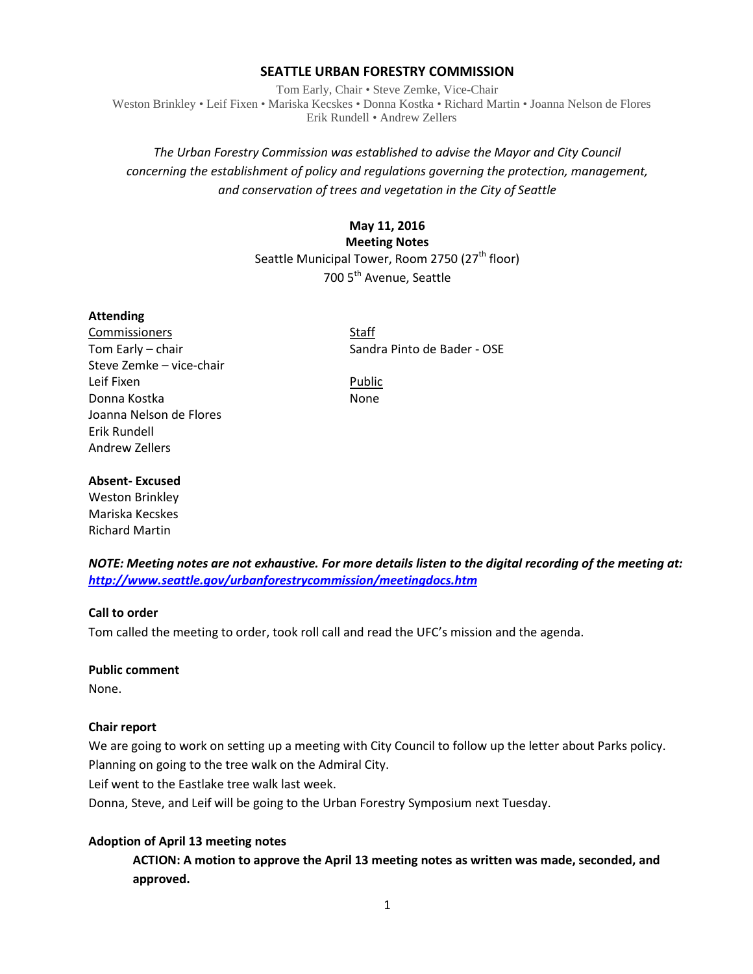### **SEATTLE URBAN FORESTRY COMMISSION**

Tom Early, Chair • Steve Zemke, Vice-Chair Weston Brinkley • Leif Fixen • Mariska Kecskes • Donna Kostka • Richard Martin • Joanna Nelson de Flores Erik Rundell • Andrew Zellers

# *The Urban Forestry Commission was established to advise the Mayor and City Council concerning the establishment of policy and regulations governing the protection, management, and conservation of trees and vegetation in the City of Seattle*

## **May 11, 2016**

**Meeting Notes** Seattle Municipal Tower, Room 2750 (27<sup>th</sup> floor) 700 5<sup>th</sup> Avenue, Seattle

#### **Attending**

Commissioners Staff Steve Zemke – vice-chair Leif Fixen **Public** Donna Kostka None Joanna Nelson de Flores Erik Rundell Andrew Zellers

Tom Early – chair Sandra Pinto de Bader - OSE

#### **Absent- Excused**

Weston Brinkley Mariska Kecskes Richard Martin

*NOTE: Meeting notes are not exhaustive. For more details listen to the digital recording of the meeting at: <http://www.seattle.gov/urbanforestrycommission/meetingdocs.htm>*

### **Call to order**

Tom called the meeting to order, took roll call and read the UFC's mission and the agenda.

#### **Public comment**

None.

### **Chair report**

We are going to work on setting up a meeting with City Council to follow up the letter about Parks policy. Planning on going to the tree walk on the Admiral City.

Leif went to the Eastlake tree walk last week.

Donna, Steve, and Leif will be going to the Urban Forestry Symposium next Tuesday.

### **Adoption of April 13 meeting notes**

**ACTION: A motion to approve the April 13 meeting notes as written was made, seconded, and approved.**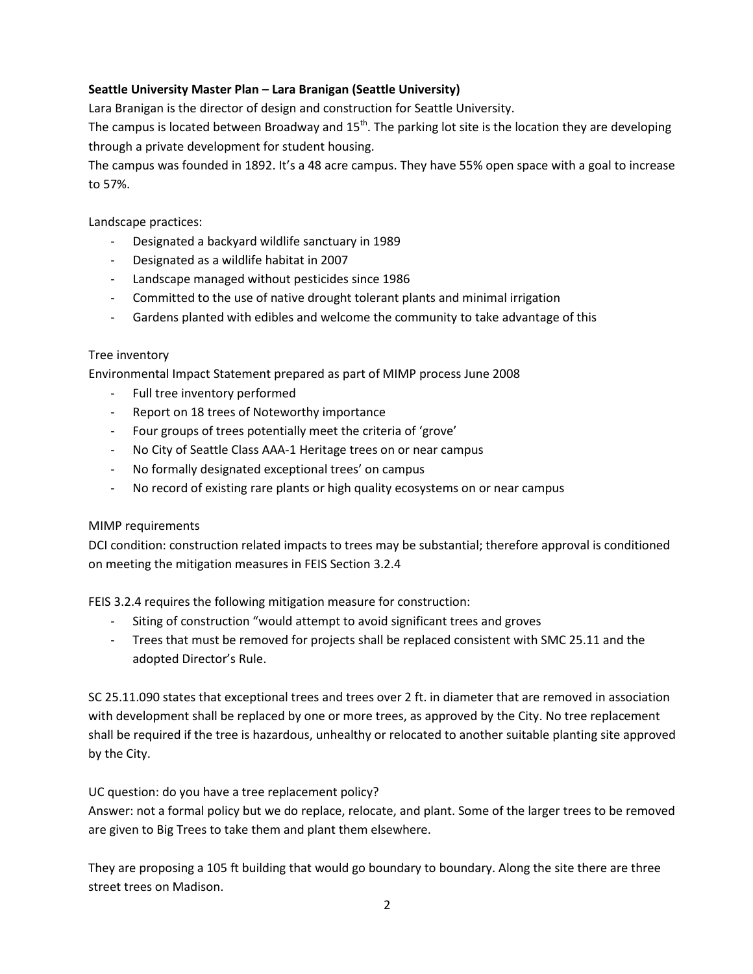# **Seattle University Master Plan – Lara Branigan (Seattle University)**

Lara Branigan is the director of design and construction for Seattle University.

The campus is located between Broadway and  $15<sup>th</sup>$ . The parking lot site is the location they are developing through a private development for student housing.

The campus was founded in 1892. It's a 48 acre campus. They have 55% open space with a goal to increase to 57%.

Landscape practices:

- Designated a backyard wildlife sanctuary in 1989
- Designated as a wildlife habitat in 2007
- Landscape managed without pesticides since 1986
- Committed to the use of native drought tolerant plants and minimal irrigation
- Gardens planted with edibles and welcome the community to take advantage of this

## Tree inventory

Environmental Impact Statement prepared as part of MIMP process June 2008

- Full tree inventory performed
- Report on 18 trees of Noteworthy importance
- Four groups of trees potentially meet the criteria of 'grove'
- No City of Seattle Class AAA-1 Heritage trees on or near campus
- No formally designated exceptional trees' on campus
- No record of existing rare plants or high quality ecosystems on or near campus

# MIMP requirements

DCI condition: construction related impacts to trees may be substantial; therefore approval is conditioned on meeting the mitigation measures in FEIS Section 3.2.4

FEIS 3.2.4 requires the following mitigation measure for construction:

- Siting of construction "would attempt to avoid significant trees and groves
- Trees that must be removed for projects shall be replaced consistent with SMC 25.11 and the adopted Director's Rule.

SC 25.11.090 states that exceptional trees and trees over 2 ft. in diameter that are removed in association with development shall be replaced by one or more trees, as approved by the City. No tree replacement shall be required if the tree is hazardous, unhealthy or relocated to another suitable planting site approved by the City.

UC question: do you have a tree replacement policy?

Answer: not a formal policy but we do replace, relocate, and plant. Some of the larger trees to be removed are given to Big Trees to take them and plant them elsewhere.

They are proposing a 105 ft building that would go boundary to boundary. Along the site there are three street trees on Madison.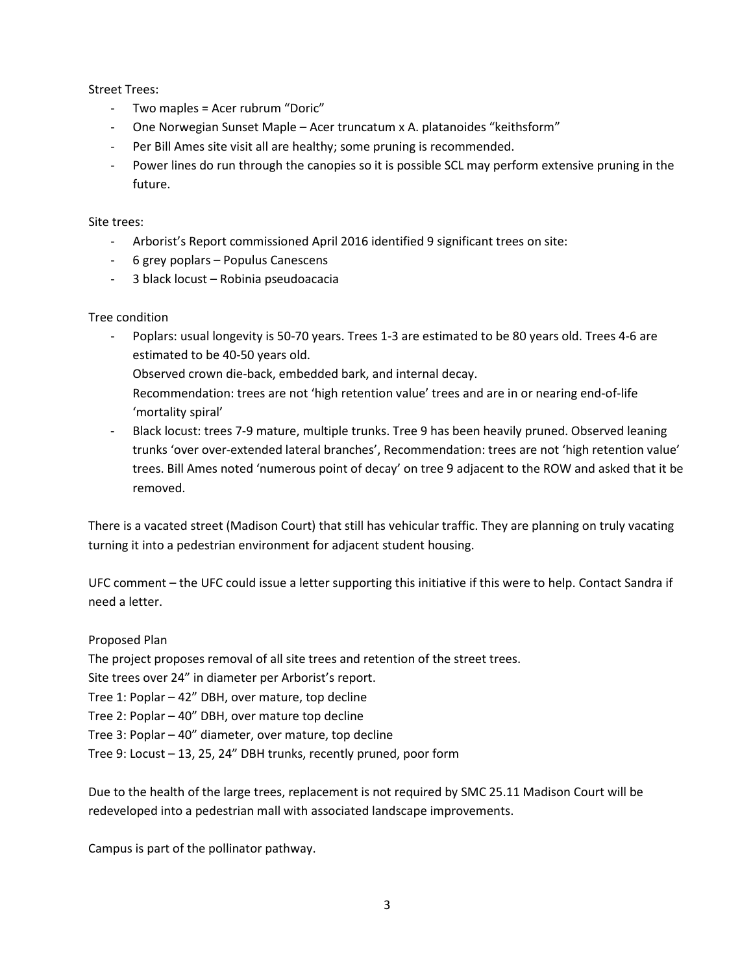Street Trees:

- Two maples = Acer rubrum "Doric"
- One Norwegian Sunset Maple Acer truncatum x A. platanoides "keithsform"
- Per Bill Ames site visit all are healthy; some pruning is recommended.
- Power lines do run through the canopies so it is possible SCL may perform extensive pruning in the future.

Site trees:

- Arborist's Report commissioned April 2016 identified 9 significant trees on site:
- 6 grey poplars Populus Canescens
- 3 black locust Robinia pseudoacacia

### Tree condition

- Poplars: usual longevity is 50-70 years. Trees 1-3 are estimated to be 80 years old. Trees 4-6 are estimated to be 40-50 years old.

Observed crown die-back, embedded bark, and internal decay.

- Recommendation: trees are not 'high retention value' trees and are in or nearing end-of-life 'mortality spiral'
- Black locust: trees 7-9 mature, multiple trunks. Tree 9 has been heavily pruned. Observed leaning trunks 'over over-extended lateral branches', Recommendation: trees are not 'high retention value' trees. Bill Ames noted 'numerous point of decay' on tree 9 adjacent to the ROW and asked that it be removed.

There is a vacated street (Madison Court) that still has vehicular traffic. They are planning on truly vacating turning it into a pedestrian environment for adjacent student housing.

UFC comment – the UFC could issue a letter supporting this initiative if this were to help. Contact Sandra if need a letter.

Proposed Plan

The project proposes removal of all site trees and retention of the street trees.

Site trees over 24" in diameter per Arborist's report.

Tree 1: Poplar – 42" DBH, over mature, top decline

Tree 2: Poplar – 40" DBH, over mature top decline

Tree 3: Poplar – 40" diameter, over mature, top decline

Tree 9: Locust – 13, 25, 24" DBH trunks, recently pruned, poor form

Due to the health of the large trees, replacement is not required by SMC 25.11 Madison Court will be redeveloped into a pedestrian mall with associated landscape improvements.

Campus is part of the pollinator pathway.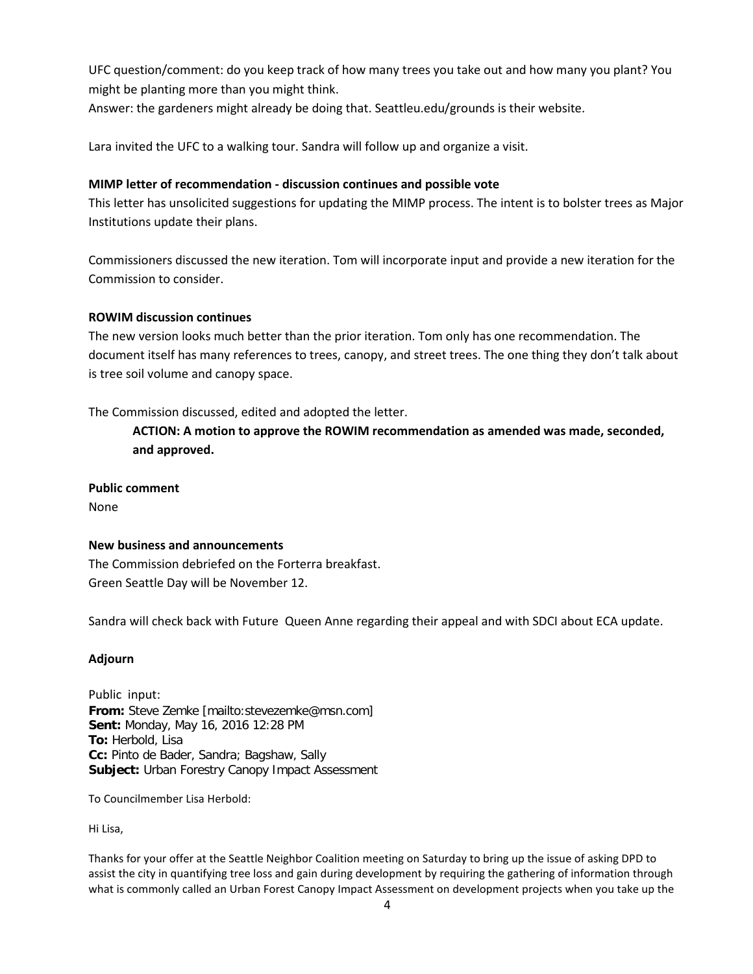UFC question/comment: do you keep track of how many trees you take out and how many you plant? You might be planting more than you might think.

Answer: the gardeners might already be doing that. Seattleu.edu/grounds is their website.

Lara invited the UFC to a walking tour. Sandra will follow up and organize a visit.

### **MIMP letter of recommendation - discussion continues and possible vote**

This letter has unsolicited suggestions for updating the MIMP process. The intent is to bolster trees as Major Institutions update their plans.

Commissioners discussed the new iteration. Tom will incorporate input and provide a new iteration for the Commission to consider.

## **ROWIM discussion continues**

The new version looks much better than the prior iteration. Tom only has one recommendation. The document itself has many references to trees, canopy, and street trees. The one thing they don't talk about is tree soil volume and canopy space.

The Commission discussed, edited and adopted the letter.

**ACTION: A motion to approve the ROWIM recommendation as amended was made, seconded, and approved.**

**Public comment**

None

### **New business and announcements**

The Commission debriefed on the Forterra breakfast. Green Seattle Day will be November 12.

Sandra will check back with Future Queen Anne regarding their appeal and with SDCI about ECA update.

### **Adjourn**

Public input: **From:** Steve Zemke [mailto:stevezemke@msn.com] **Sent:** Monday, May 16, 2016 12:28 PM **To:** Herbold, Lisa **Cc:** Pinto de Bader, Sandra; Bagshaw, Sally **Subject:** Urban Forestry Canopy Impact Assessment

To Councilmember Lisa Herbold:

Hi Lisa,

Thanks for your offer at the Seattle Neighbor Coalition meeting on Saturday to bring up the issue of asking DPD to assist the city in quantifying tree loss and gain during development by requiring the gathering of information through what is commonly called an Urban Forest Canopy Impact Assessment on development projects when you take up the